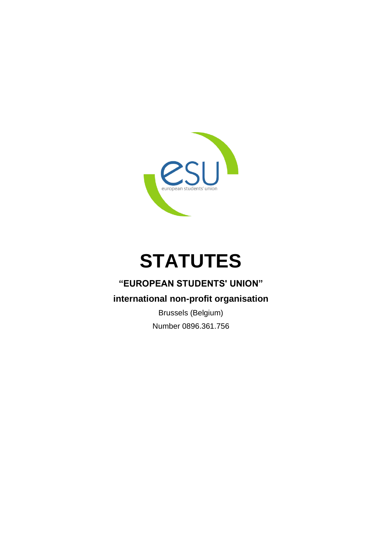

# **STATUTES**

# **"EUROPEAN STUDENTS' UNION"**

# **international non-profit organisation**

Brussels (Belgium) Number 0896.361.756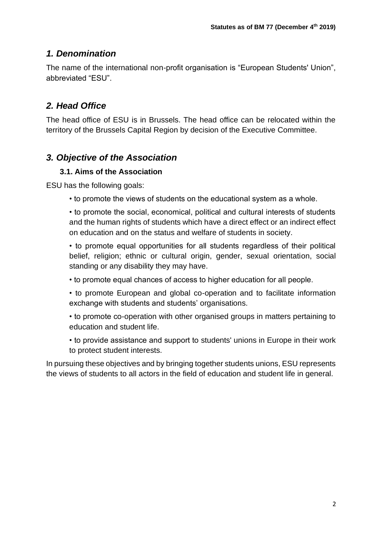## *1. Denomination*

The name of the international non-profit organisation is "European Students' Union", abbreviated "ESU".

# *2. Head Office*

The head office of ESU is in Brussels. The head office can be relocated within the territory of the Brussels Capital Region by decision of the Executive Committee.

# *3. Objective of the Association*

#### **3.1. Aims of the Association**

ESU has the following goals:

• to promote the views of students on the educational system as a whole.

• to promote the social, economical, political and cultural interests of students and the human rights of students which have a direct effect or an indirect effect on education and on the status and welfare of students in society.

• to promote equal opportunities for all students regardless of their political belief, religion; ethnic or cultural origin, gender, sexual orientation, social standing or any disability they may have.

- to promote equal chances of access to higher education for all people.
- to promote European and global co-operation and to facilitate information exchange with students and students' organisations.
- to promote co-operation with other organised groups in matters pertaining to education and student life.

• to provide assistance and support to students' unions in Europe in their work to protect student interests.

In pursuing these objectives and by bringing together students unions, ESU represents the views of students to all actors in the field of education and student life in general.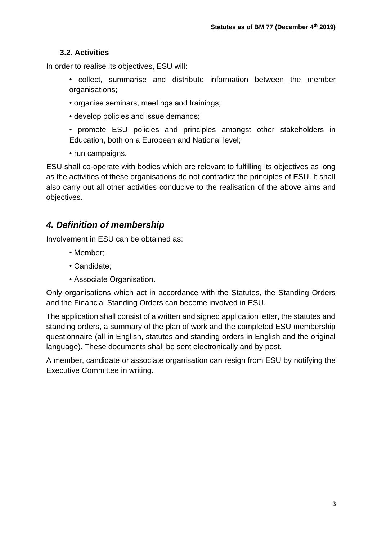#### **3.2. Activities**

In order to realise its objectives, ESU will:

- collect, summarise and distribute information between the member organisations;
- organise seminars, meetings and trainings;
- develop policies and issue demands;
- promote ESU policies and principles amongst other stakeholders in Education, both on a European and National level;
- run campaigns.

ESU shall co-operate with bodies which are relevant to fulfilling its objectives as long as the activities of these organisations do not contradict the principles of ESU. It shall also carry out all other activities conducive to the realisation of the above aims and objectives.

# *4. Definition of membership*

Involvement in ESU can be obtained as:

- Member;
- Candidate;
- Associate Organisation.

Only organisations which act in accordance with the Statutes, the Standing Orders and the Financial Standing Orders can become involved in ESU.

The application shall consist of a written and signed application letter, the statutes and standing orders, a summary of the plan of work and the completed ESU membership questionnaire (all in English, statutes and standing orders in English and the original language). These documents shall be sent electronically and by post.

A member, candidate or associate organisation can resign from ESU by notifying the Executive Committee in writing.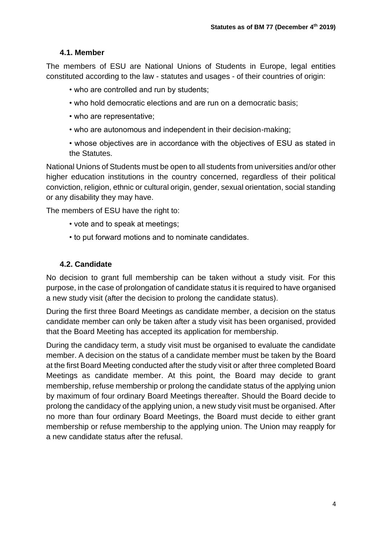#### **4.1. Member**

The members of ESU are National Unions of Students in Europe, legal entities constituted according to the law - statutes and usages - of their countries of origin:

- who are controlled and run by students;
- who hold democratic elections and are run on a democratic basis;
- who are representative;
- who are autonomous and independent in their decision-making;
- whose objectives are in accordance with the objectives of ESU as stated in the Statutes.

National Unions of Students must be open to all students from universities and/or other higher education institutions in the country concerned, regardless of their political conviction, religion, ethnic or cultural origin, gender, sexual orientation, social standing or any disability they may have.

The members of ESU have the right to:

- vote and to speak at meetings;
- to put forward motions and to nominate candidates.

#### **4.2. Candidate**

No decision to grant full membership can be taken without a study visit. For this purpose, in the case of prolongation of candidate status it is required to have organised a new study visit (after the decision to prolong the candidate status).

During the first three Board Meetings as candidate member, a decision on the status candidate member can only be taken after a study visit has been organised, provided that the Board Meeting has accepted its application for membership.

During the candidacy term, a study visit must be organised to evaluate the candidate member. A decision on the status of a candidate member must be taken by the Board at the first Board Meeting conducted after the study visit or after three completed Board Meetings as candidate member. At this point, the Board may decide to grant membership, refuse membership or prolong the candidate status of the applying union by maximum of four ordinary Board Meetings thereafter. Should the Board decide to prolong the candidacy of the applying union, a new study visit must be organised. After no more than four ordinary Board Meetings, the Board must decide to either grant membership or refuse membership to the applying union. The Union may reapply for a new candidate status after the refusal.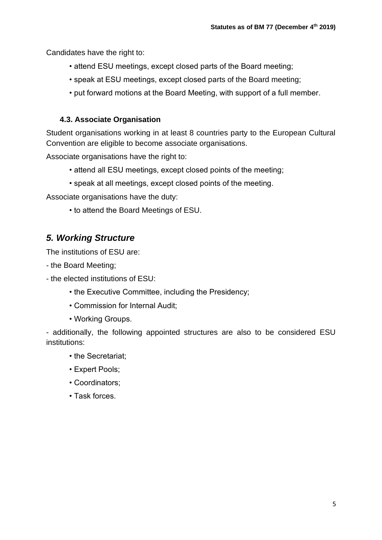Candidates have the right to:

- attend ESU meetings, except closed parts of the Board meeting;
- speak at ESU meetings, except closed parts of the Board meeting;
- put forward motions at the Board Meeting, with support of a full member.

#### **4.3. Associate Organisation**

Student organisations working in at least 8 countries party to the European Cultural Convention are eligible to become associate organisations.

Associate organisations have the right to:

- attend all ESU meetings, except closed points of the meeting;
- speak at all meetings, except closed points of the meeting.

Associate organisations have the duty:

• to attend the Board Meetings of ESU.

# *5. Working Structure*

The institutions of ESU are:

- the Board Meeting;
- the elected institutions of ESU:
	- the Executive Committee, including the Presidency;
	- Commission for Internal Audit;
	- Working Groups.

- additionally, the following appointed structures are also to be considered ESU institutions:

- the Secretariat:
- Expert Pools;
- Coordinators;
- Task forces.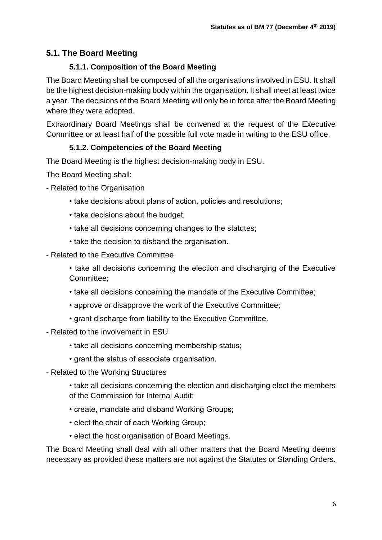## **5.1. The Board Meeting**

#### **5.1.1. Composition of the Board Meeting**

The Board Meeting shall be composed of all the organisations involved in ESU. It shall be the highest decision-making body within the organisation. It shall meet at least twice a year. The decisions of the Board Meeting will only be in force after the Board Meeting where they were adopted.

Extraordinary Board Meetings shall be convened at the request of the Executive Committee or at least half of the possible full vote made in writing to the ESU office.

#### **5.1.2. Competencies of the Board Meeting**

The Board Meeting is the highest decision-making body in ESU.

The Board Meeting shall:

- Related to the Organisation
	- take decisions about plans of action, policies and resolutions;
	- take decisions about the budget;
	- take all decisions concerning changes to the statutes;
	- take the decision to disband the organisation.
- Related to the Executive Committee
	- take all decisions concerning the election and discharging of the Executive Committee;
	- take all decisions concerning the mandate of the Executive Committee;
	- approve or disapprove the work of the Executive Committee;
	- grant discharge from liability to the Executive Committee.
- Related to the involvement in ESU
	- take all decisions concerning membership status;
	- grant the status of associate organisation.
- Related to the Working Structures

• take all decisions concerning the election and discharging elect the members of the Commission for Internal Audit;

- create, mandate and disband Working Groups;
- elect the chair of each Working Group;
- elect the host organisation of Board Meetings.

The Board Meeting shall deal with all other matters that the Board Meeting deems necessary as provided these matters are not against the Statutes or Standing Orders.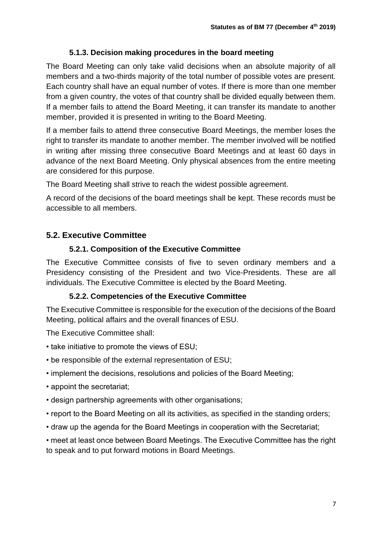#### **5.1.3. Decision making procedures in the board meeting**

The Board Meeting can only take valid decisions when an absolute majority of all members and a two-thirds majority of the total number of possible votes are present. Each country shall have an equal number of votes. If there is more than one member from a given country, the votes of that country shall be divided equally between them. If a member fails to attend the Board Meeting, it can transfer its mandate to another member, provided it is presented in writing to the Board Meeting.

If a member fails to attend three consecutive Board Meetings, the member loses the right to transfer its mandate to another member. The member involved will be notified in writing after missing three consecutive Board Meetings and at least 60 days in advance of the next Board Meeting. Only physical absences from the entire meeting are considered for this purpose.

The Board Meeting shall strive to reach the widest possible agreement.

A record of the decisions of the board meetings shall be kept. These records must be accessible to all members.

#### **5.2. Executive Committee**

#### **5.2.1. Composition of the Executive Committee**

The Executive Committee consists of five to seven ordinary members and a Presidency consisting of the President and two Vice-Presidents. These are all individuals. The Executive Committee is elected by the Board Meeting.

#### **5.2.2. Competencies of the Executive Committee**

The Executive Committee is responsible for the execution of the decisions of the Board Meeting, political affairs and the overall finances of ESU.

The Executive Committee shall:

- take initiative to promote the views of ESU;
- be responsible of the external representation of ESU;
- implement the decisions, resolutions and policies of the Board Meeting;
- appoint the secretariat;
- design partnership agreements with other organisations;
- report to the Board Meeting on all its activities, as specified in the standing orders;
- draw up the agenda for the Board Meetings in cooperation with the Secretariat;

• meet at least once between Board Meetings. The Executive Committee has the right to speak and to put forward motions in Board Meetings.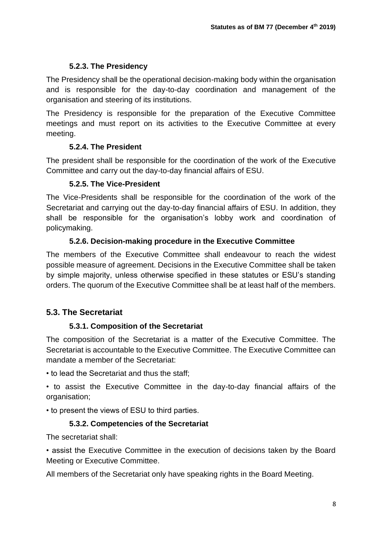#### **5.2.3. The Presidency**

The Presidency shall be the operational decision-making body within the organisation and is responsible for the day-to-day coordination and management of the organisation and steering of its institutions.

The Presidency is responsible for the preparation of the Executive Committee meetings and must report on its activities to the Executive Committee at every meeting.

## **5.2.4. The President**

The president shall be responsible for the coordination of the work of the Executive Committee and carry out the day-to-day financial affairs of ESU.

## **5.2.5. The Vice-President**

The Vice-Presidents shall be responsible for the coordination of the work of the Secretariat and carrying out the day-to-day financial affairs of ESU. In addition, they shall be responsible for the organisation's lobby work and coordination of policymaking.

## **5.2.6. Decision-making procedure in the Executive Committee**

The members of the Executive Committee shall endeavour to reach the widest possible measure of agreement. Decisions in the Executive Committee shall be taken by simple majority, unless otherwise specified in these statutes or ESU's standing orders. The quorum of the Executive Committee shall be at least half of the members.

# **5.3. The Secretariat**

## **5.3.1. Composition of the Secretariat**

The composition of the Secretariat is a matter of the Executive Committee. The Secretariat is accountable to the Executive Committee. The Executive Committee can mandate a member of the Secretariat:

• to lead the Secretariat and thus the staff;

• to assist the Executive Committee in the day-to-day financial affairs of the organisation;

• to present the views of ESU to third parties.

## **5.3.2. Competencies of the Secretariat**

The secretariat shall:

• assist the Executive Committee in the execution of decisions taken by the Board Meeting or Executive Committee.

All members of the Secretariat only have speaking rights in the Board Meeting.